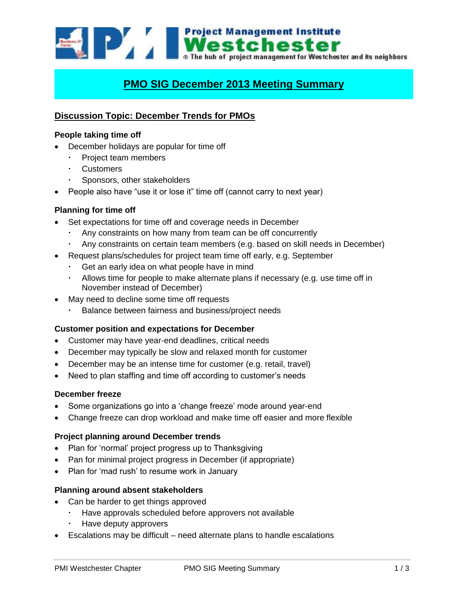Westchester The hub of project management for Westchester and its neighbors

# **PMO SIG December 2013 Meeting Summary**

# **Discussion Topic: December Trends for PMOs**

# **People taking time off**

- December holidays are popular for time off
	- Project team members
	- **Customers**
	- Sponsors, other stakeholders
- People also have "use it or lose it" time off (cannot carry to next year)

# **Planning for time off**

- Set expectations for time off and coverage needs in December
	- Any constraints on how many from team can be off concurrently
	- Any constraints on certain team members (e.g. based on skill needs in December)
- Request plans/schedules for project team time off early, e.g. September
	- Get an early idea on what people have in mind
	- Allows time for people to make alternate plans if necessary (e.g. use time off in November instead of December)
- May need to decline some time off requests
	- Balance between fairness and business/project needs

# **Customer position and expectations for December**

- Customer may have year-end deadlines, critical needs
- December may typically be slow and relaxed month for customer
- December may be an intense time for customer (e.g. retail, travel)
- Need to plan staffing and time off according to customer's needs

# **December freeze**

- Some organizations go into a 'change freeze' mode around year-end
- Change freeze can drop workload and make time off easier and more flexible

# **Project planning around December trends**

- Plan for 'normal' project progress up to Thanksgiving
- Pan for minimal project progress in December (if appropriate)
- Plan for 'mad rush' to resume work in January

# **Planning around absent stakeholders**

- Can be harder to get things approved
	- Have approvals scheduled before approvers not available
	- Have deputy approvers
- Escalations may be difficult need alternate plans to handle escalations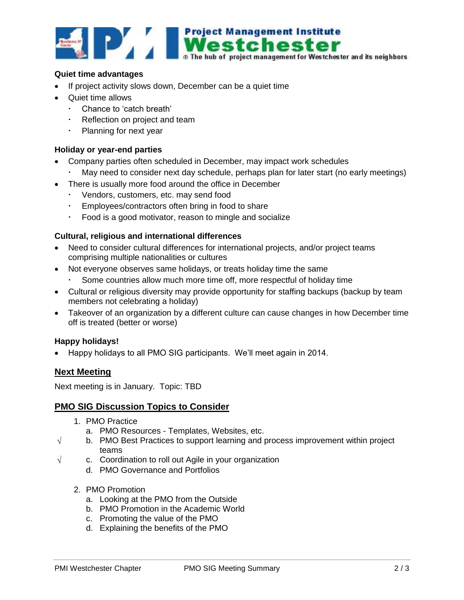

#### **Quiet time advantages**

- If project activity slows down, December can be a quiet time
- Quiet time allows
	- Chance to 'catch breath'
	- Reflection on project and team
	- Planning for next year

#### **Holiday or year-end parties**

- Company parties often scheduled in December, may impact work schedules
	- May need to consider next day schedule, perhaps plan for later start (no early meetings)
- There is usually more food around the office in December
	- Vendors, customers, etc. may send food
	- Employees/contractors often bring in food to share
	- Food is a good motivator, reason to mingle and socialize

#### **Cultural, religious and international differences**

- Need to consider cultural differences for international projects, and/or project teams comprising multiple nationalities or cultures
- Not everyone observes same holidays, or treats holiday time the same
	- Some countries allow much more time off, more respectful of holiday time
- Cultural or religious diversity may provide opportunity for staffing backups (backup by team members not celebrating a holiday)
- Takeover of an organization by a different culture can cause changes in how December time off is treated (better or worse)

#### **Happy holidays!**

Happy holidays to all PMO SIG participants. We'll meet again in 2014.

# **Next Meeting**

Next meeting is in January. Topic: TBD

#### **PMO SIG Discussion Topics to Consider**

- 1. PMO Practice
	- a. PMO Resources Templates, Websites, etc.
- $\sqrt{\phantom{a}}$  b. PMO Best Practices to support learning and process improvement within project teams
- $\sqrt{ }$  c. Coordination to roll out Agile in your organization
	- d. PMO Governance and Portfolios
	- 2. PMO Promotion
		- a. Looking at the PMO from the Outside
		- b. PMO Promotion in the Academic World
		- c. Promoting the value of the PMO
		- d. Explaining the benefits of the PMO